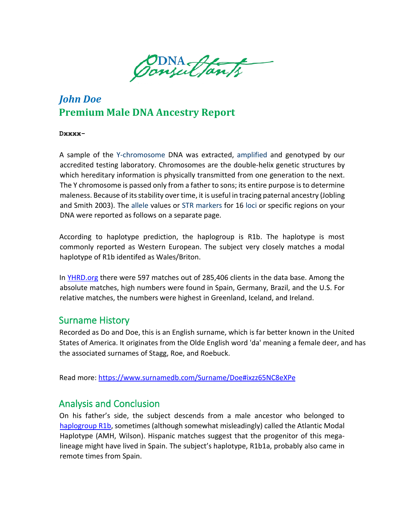Consultants

## *John Doe* **Premium Male DNA Ancestry Report**

**Dxxxx-**

A sample of the [Y-chromosome](http://dnaconsultants.com/dna-glossary) DNA was extracted, [amplified](https://dnaconsultants.com/dna-glossary/) [a](http://dnaconsultants.com/Detailed/222.html)nd genotyped by our accredited testing laborator[y.](http://dnacenter.com/) Chromosomes are the double-helix genetic structures by which hereditary information is physically transmitted from one generation to the next. The Y chromosome is passed only from a father to sons; its entire purpose is to determine maleness. Because of its stability over time, it is useful in tracing paternal ancestry (Jobling and Smith 2003). The [allele](http://dnaconsultants.com/dna-glossary) values or [STR](http://www.cstl.nist.gov/div831/strbase/intro.htm) [markers](http://www.genome.gov/glossary.cfm?key=marker) for 16 [loci or](http://www.genome.gov/glossary/?id=116) specific regions on your DNA were reported as follows on a separate page.

According to haplotype prediction, the haplogroup is R1b. The haplotype is most commonly reported as Western European. The subject very closely matches a modal haplotype of R1b identifed as Wales/Briton.

In YHRD.org there were 597 matches out of 285,406 clients in the data base. Among the absolute matches, high numbers were found in Spain, Germany, Brazil, and the U.S. For relative matches, the numbers were highest in Greenland, Iceland, and Ireland.

### Surname History

Recorded as Do and Doe, this is an English surname, which is far better known in the United States of America. It originates from the Olde English word 'da' meaning a female deer, and has the associated surnames of Stagg, Roe, and Roebuck.

Read more:<https://www.surnamedb.com/Surname/Doe#ixzz65NC8eXPe>

## Analysis and Conclusion

On his father's side, the subject descends from a male ancestor who belonged to haplogroup [R1b,](http://en.wikipedia.org/wiki/Haplogroup_R1b_(YDNA)) sometimes (although somewhat misleadingly) called the Atlantic Modal Haplotype (AMH, Wilson). Hispanic matches suggest that the progenitor of this megalineage might have lived in Spain. The subject's haplotype, R1b1a, probably also came in remote times from Spain.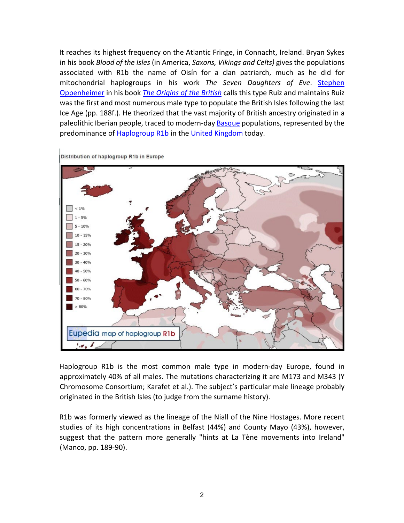It reaches its highest frequency on the Atlantic Fringe, in Connacht, Ireland. Bryan Sykes in his book *Blood of the Isles* (in America, *Saxons, Vikings and Celts)* gives the populations associated with R1b the name of Oisín for a clan patriarch, much as he did for mitochondrial haplogroups in his work *The Seven Daughters of Eve*. [Stephen](http://en.wikipedia.org/wiki/Stephen_Oppenheimer)  [Oppenheimer](http://en.wikipedia.org/wiki/Stephen_Oppenheimer) in his book *[The Origins of the British](http://en.wikipedia.org/wiki/Stephen_Oppenheimer#Origins_of_the_British)* calls this type Ruiz and maintains Ruiz was the first and most numerous male type to populate the British Isles following the last Ice Age (pp. 188f.). He theorized that the vast majority of British ancestry originated in a paleolithic Iberian people, traced to modern-day **Basque** populations, represented by the predominance o[f Haplogroup R1b](http://en.wikipedia.org/wiki/Haplogroup_R1b) in the [United Kingdom](http://en.wikipedia.org/wiki/United_Kingdom) today.



Distribution of haplogroup R1b in Europe

Haplogroup R1b is the most common male type in modern-day Europe, found in approximately 40% of all males. The mutations characterizing it are M173 and M343 (Y Chromosome Consortium; Karafet et al.). The subject's particular male lineage probably originated in the British Isles (to judge from the surname history).

R1b was formerly viewed as the lineage of the Niall of the Nine Hostages. More recent studies of its high concentrations in Belfast (44%) and County Mayo (43%), however, suggest that the pattern more generally "hints at La Tène movements into Ireland" (Manco, pp. 189-90).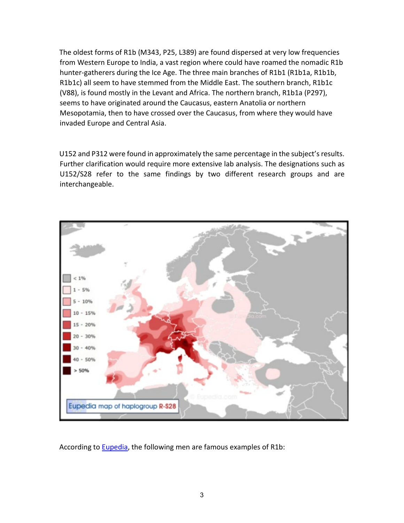The oldest forms of R1b (M343, P25, L389) are found dispersed at very low frequencies from Western Europe to India, a vast region where could have roamed the nomadic R1b hunter-gatherers during the Ice Age. The three main branches of R1b1 (R1b1a, R1b1b, R1b1c) all seem to have stemmed from the Middle East. The southern branch, R1b1c (V88), is found mostly in the Levant and Africa. The northern branch, R1b1a (P297), seems to have originated around the Caucasus, eastern Anatolia or northern Mesopotamia, then to have crossed over the Caucasus, from where they would have invaded Europe and Central Asia.

U152 and P312 were found in approximately the same percentage in the subject's results. Further clarification would require more extensive lab analysis. The designations such as U152/S28 refer to the same findings by two different research groups and are interchangeable.



According to [Eupedia,](http://www.eupedia.com/europe/Haplogroup_R1b_Y-DNA.shtml) the following men are famous examples of R1b: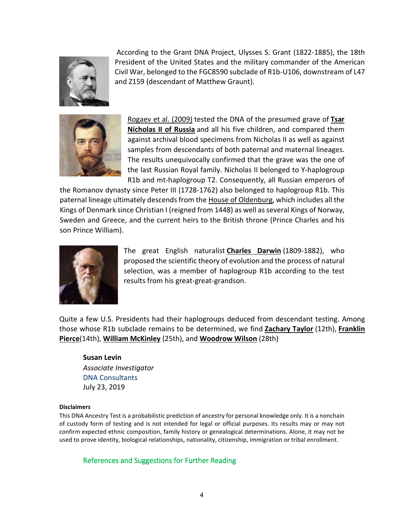

According to the Grant DNA Project, Ulysses S. Grant (1822-1885), the 18th President of the United States and the military commander of the American Civil War, belonged to the FGC8590 subclade of R1b-U106, downstream of L47 and Z159 (descendant of Matthew Graunt).



[Rogaev et al. \(2009\)](http://www.pnas.org/content/early/2009/02/26/0811190106.abstract) tested the DNA of the presumed grave of **[Tsar](http://en.wikipedia.org/wiki/Nicholas_II_of_Russia)  [Nicholas II of Russia](http://en.wikipedia.org/wiki/Nicholas_II_of_Russia)** and all his five children, and compared them against archival blood specimens from Nicholas II as well as against samples from descendants of both paternal and maternal lineages. The results unequivocally confirmed that the grave was the one of the last Russian Royal family. Nicholas II belonged to Y-haplogroup R1b and mt-haplogroup T2. Consequently, all Russian emperors of

the Romanov dynasty since Peter III (1728-1762) also belonged to haplogroup R1b. This paternal lineage ultimately descends from the [House of Oldenburg,](http://www.eupedia.com/forum/showthread.php?25231) which includes all the Kings of Denmark since Christian I (reigned from 1448) as well as several Kings of Norway, Sweden and Greece, and the current heirs to the British throne (Prince Charles and his son Prince William).



The great English naturalist **[Charles Darwin](http://en.wikipedia.org/wiki/Charles_Darwin)** (1809-1882), who proposed the scientific theory of evolution and the process of natural selection, was a member of haplogroup R1b according to the test results from his great-great-grandson.

Quite a few U.S. Presidents had their haplogroups deduced from descendant testing. Among those whose R1b subclade remains to be determined, we find **[Zachary Taylor](http://en.wikipedia.org/wiki/Zachary_Taylor)** (12th), **[Franklin](http://en.wikipedia.org/wiki/Franklin_Pierce)  [Pierce](http://en.wikipedia.org/wiki/Franklin_Pierce)**(14th), **[William McKinley](http://en.wikipedia.org/wiki/William_McKinley)** (25th), and **[Woodrow Wilson](http://en.wikipedia.org/wiki/Woodrow_Wilson)** (28th)

## **Susan Levin**

*Associate Investigator* [DNA Consultants](http://www.dnaconsultants.com/) July 23, 2019

#### **Disclaimers**

This DNA Ancestry Test is a probabilistic prediction of ancestry for personal knowledge only. It is a nonchain of custody form of testing and is not intended for legal or official purposes. Its results may or may not confirm expected ethnic composition, family history or genealogical determinations. Alone, it may not be used to prove identity, biological relationships, nationality, citizenship, immigration or tribal enrollment.

References and Suggestions for Further Reading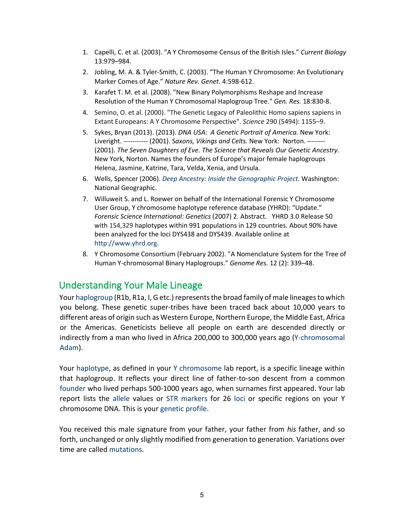- 1. Capelli, C. et al. (2003). "A Y Chromosome Census of the British Isles." *Current Biology*  13:979–984.
- 2. Jobling, M. A. & Tyler-Smith, C. (2003). "The Human Y Chromosome: An Evolutionary Marker Comes of Age." *Nature Rev. Genet.* 4:598-612.
- 3. Karafet T. M. et al. (2008). "New Binary Polymorphisms Reshape and Increase Resolution of the Human Y Chromosomal Haplogroup Tree." *Gen. Res.* 18:830-8.
- 4. Semino, O. et al. (2000). "The Genetic Legacy of Paleolithic Homo sapiens sapiens in Extant Europeans: A Y Chromosome Perspective". *Science* 290 (5494): 1155–9.
- 5. Sykes, Bryan (2013). (2013). *DNA USA: A Genetic Portrait of America.* New York: Liveright. ----------- (2001). S*axons, Vikings and Celts.* New York: Norton. -------- (2001). *The Seven Daughters of Eve. The Science that Reveals Our Genetic Ancestry.* New York, Norton. Names the founders of Europe's major female haplogroups Helena, Jasmine, Katrine, Tara, Velda, Xenia, and Ursula.
- 6. Wells, Spencer (2006). *[Deep Ancestry: Inside the Genographic Project.](http://books.google.com/books?id=TSl9AAAACAAJ&dq=deep+ancestry)* Washington: National Geographic.
- 7. Willuweit S. and L. Roewer on behalf of the International Forensic Y Chromosome User Group, Y chromosome haplotype reference database (YHRD): "Update." *Forensic Science International: Genetics* (2007) 2. [Abstract.](http://dx.doi.org/10.1016/j.fsigen.2007.01.017) YHRD 3.0 Release 50 with 154,329 haplotypes within 991 populations in 129 countries. About 90% have been analyzed for the loci DYS438 and DYS439. Available online at [http://www.yhrd.org.](http://www.yhrd.org/)
- 8. Y Chromosome Consortium (February 2002). ["A Nomenclature System for the Tree of](http://www.ncbi.nlm.nih.gov/pmc/articles/PMC155271/)  [Human Y-chromosomal Binary Haplogroups."](http://www.ncbi.nlm.nih.gov/pmc/articles/PMC155271/) *Genome Res.* 12 (2): 339–48.

## Understanding Your Male Lineage

Your [haplogroup](http://dnaconsultants.com/dna-glossary) (R1b, R1a, I, G etc.) represents the broad family of male lineages to which you belong. These genetic super-tribes have been traced back about 10,000 years to different areas of origin such as Western Europe, Northern Europe, the Middle East, Africa or the Americas. Geneticists believe all people on earth are descended directly or indirectly from a man who lived in Africa 200,000 to 300,000 years ago [\(Y-chromosomal](https://en.wikipedia.org/wiki/Y-chromosomal_Adam)  [Adam\).](https://en.wikipedia.org/wiki/Y-chromosomal_Adam)

Your [haplotype,](http://dnaconsultants.com/dna-glossary) as defined in your [Y chromosome](http://dnaconsultants.com/dna-glossary) [l](http://dnaconsultants.com/dna-glossary)ab report, is a specific lineage within that haplogroup. It reflects your direct line of father-to-son descent from a common [founder](https://en.wikipedia.org/wiki/Most_recent_common_ancestor) who lived perhaps 500-1000 years ago, when surnames first appeared. Your lab report lists the [allele](http://www.genome.gov/glossary.cfm?key=allele) values or [STR](http://www.cstl.nist.gov/div831/strbase/intro.htm) [markers](http://www.genome.gov/glossary.cfm?key=marker) for 26 [loci or](http://www.genome.gov/glossary/?id=116) specific regions on your Y chromosome DNA. This is your [genetic profile.](http://dnaconsultants.com/dna-glossary)

You received this male signature from your father, your father from *his* father, and so forth, unchanged or only slightly modified from generation to generation. Variations over time are called [mutations](https://dnaconsultants.com/dna-glossary/)[.](http://dnaconsultants.com/Detailed/220.html)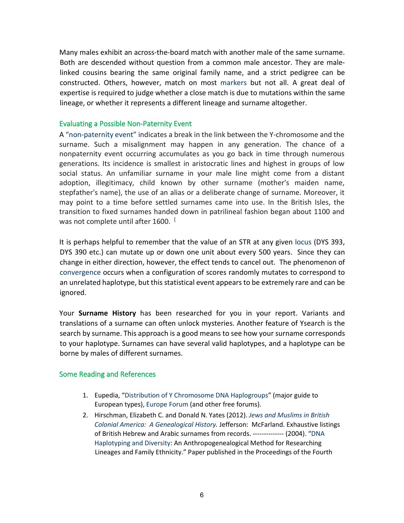Many males exhibit an across-the-board match with another male of the same surname. Both are descended without question from a common male ancestor. They are malelinked cousins bearing the same original family name, and a strict pedigree can be constructed. Others, however, match on most [markers](http://dnaconsultants.com/Detailed/58.html) [b](http://dnaconsultants.com/Detailed/58.html)ut not all. A great deal of expertise is required to judge whether a close match is due to mutations within the same lineage, or whether it represents a different lineage and surname altogether.

#### Evaluating a Possible Non-Paternity Event

A ["non-paternity event"](https://en.wikipedia.org/wiki/Non-paternity_event) [i](https://en.wikipedia.org/wiki/Non-paternity_event)ndicates a break in the link between the Y-chromosome and the surname. Such a misalignment may happen in any generation. The chance of a nonpaternity event occurring accumulates as you go back in time through numerous generations. Its incidence is smallest in aristocratic lines and highest in groups of low social status. An unfamiliar surname in your male line might come from a distant adoption, illegitimacy, child known by other surname (mother's maiden name, stepfather's name), the use of an alias or a deliberate change of surname. Moreover, it may point to a time before settled surnames came into use. In the British Isles, the transition to fixed surnames handed down in patrilineal fashion began about 1100 and was not complete until after 1600.

It is perhaps helpful to remember that the value of an STR at any given [locus](http://www.genome.gov/glossary/?id=116) (DYS 393, DYS 390 etc.) can mutate up or down one unit about every 500 years. Since they can change in either direction, however, the effect tends to cancel out. The phenomenon of [convergence](http://dnaconsultants.com/Detailed/361.html) occurs when a configuration of scores randomly mutates to correspond to an unrelated haplotype, but this statistical event appears to be extremely rare and can be ignored.

Your **Surname History** has been researched for you in your report. Variants and translations of a surname can often unlock mysteries. Another feature of Ysearch is the search by surname. This approach is a good means to see how your surname corresponds to your haplotype. Surnames can have several valid haplotypes, and a haplotype can be borne by males of different surnames.

#### Some Reading and References

- 1. Eupedia, ["Distribution of Y Chromosome DNA Haplogroups"](http://www.eupedia.com/europe/european_y-dna_haplogroups.shtml) (major guide to European types)[, Europe Forum](http://www.eupedia.com/forum/) (and other free forums).
- 2. Hirschman, Elizabeth C. and Donald N. Yates (2012). *[Jews and Muslims in British](http://dnaconsultants.com/books-and-literature/jews-and-muslims-in-british-colonial-america)  [Colonial America: A Genealogical History.](http://dnaconsultants.com/books-and-literature/jews-and-muslims-in-british-colonial-america)* Jefferson: McFarland. Exhaustive listings of British Hebrew and Arabic surnames from records. -------------- (2004). ["DNA](http://dnaconsultants.com/books-and-literature/dna-haplotyping-and-diversity)  [Haplotyping and Diversity:](http://dnaconsultants.com/books-and-literature/dna-haplotyping-and-diversity) An Anthropogenealogical Method for Researching Lineages and Family Ethnicity." Paper published in the Proceedings of the Fourth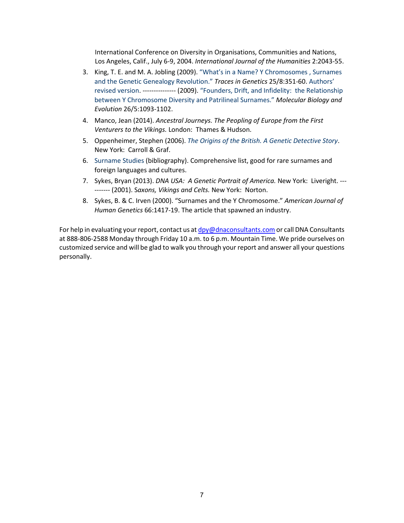International Conference on Diversity in Organisations, Communities and Nations, Los Angeles, Calif., July 6-9, 2004. *International Journal of the Humanities* 2:2043-55.

- 3. King, T. E. and M. A. Jobling (2009)[. "What's in a Name? Y Chromosomes , Surnames](http://citeseerx.ist.psu.edu/viewdoc/download?doi=10.1.1.502.709&rep=rep1&type=pdf)  [and the Genetic Genealogy Revolution."](http://citeseerx.ist.psu.edu/viewdoc/download?doi=10.1.1.502.709&rep=rep1&type=pdf) *Traces in Genetics* 25/8:351-60. [Authors'](http://www.le.ac.uk/ge/maj4/KingJoblingRevisedWeb.pdf)  [revised version.](http://www.le.ac.uk/ge/maj4/KingJoblingRevisedWeb.pdf) --------------- (2009). ["Founders, Drift, and Infidelity: the](http://www.ncbi.nlm.nih.gov/pmc/articles/PMC2668828/) Relationship [between Y Chromosome Diversity and Patrilineal Surnames."](http://www.ncbi.nlm.nih.gov/pmc/articles/PMC2668828/) *[M](http://www.ncbi.nlm.nih.gov/pmc/articles/PMC2668828/)olecular Biology and Evolution* 26/5:1093-1102.
- 4. Manco, Jean (2014). *Ancestral Journeys. The Peopling of Europe from the First Venturers to the Vikings.* London: Thames & Hudson.
- 5. Oppenheimer, Stephen (2006[\).](http://www.amazon.com/Origins-British-Genetic-Detective-Story/dp/0786718900/sr=8-1/qid=1169420530/ref=pd_bbs_sr_1/105-4886445-0769248?ie=UTF8&s=books) *[The Origins of the British. A Genetic Detective Story](http://www.amazon.com/Origins-British-Genetic-Detective-Story/dp/0786718900/sr=8-1/qid=1169420530/ref=pd_bbs_sr_1/105-4886445-0769248?ie=UTF8&s=books)*[.](http://www.amazon.com/Origins-British-Genetic-Detective-Story/dp/0786718900/sr=8-1/qid=1169420530/ref=pd_bbs_sr_1/105-4886445-0769248?ie=UTF8&s=books) New York: Carroll & Graf.
- 6. [Surname Studies](http://dnaconsultants.com/Detailed/71.html) (bibliography). Comprehensive list, good for rare surnames and foreign languages and cultures.
- 7. Sykes, Bryan (2013). *DNA USA: A Genetic Portrait of America.* New York: Liveright. --- ------- (2001). S*axons, Vikings and Celts.* New York: Norton.
- 8. Sykes, B. & C. Irven (2000). "Surnames and the Y Chromosome." *American Journal of Human Genetics* 66:1417-19. The article that spawned an industry.

For help in evaluating your report, contact us at  $dpy@dnaconsultants.com$  or call DNA Consultants at 888-806-2588 Monday through Friday 10 a.m. to 6 p.m. Mountain Time. We pride ourselves on customized service and will be glad to walk you through your report and answer all your questions personally.